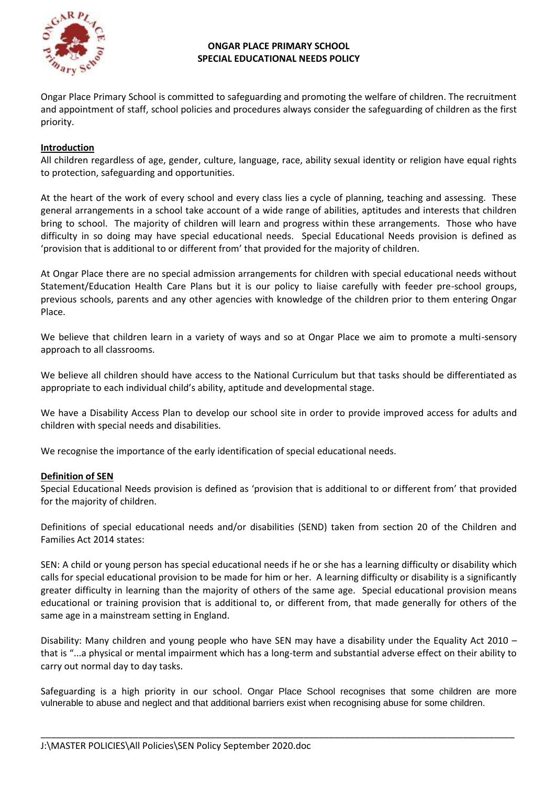

### **ONGAR PLACE PRIMARY SCHOOL SPECIAL EDUCATIONAL NEEDS POLICY**

Ongar Place Primary School is committed to safeguarding and promoting the welfare of children. The recruitment and appointment of staff, school policies and procedures always consider the safeguarding of children as the first priority.

# **Introduction**

All children regardless of age, gender, culture, language, race, ability sexual identity or religion have equal rights to protection, safeguarding and opportunities.

At the heart of the work of every school and every class lies a cycle of planning, teaching and assessing. These general arrangements in a school take account of a wide range of abilities, aptitudes and interests that children bring to school. The majority of children will learn and progress within these arrangements. Those who have difficulty in so doing may have special educational needs. Special Educational Needs provision is defined as 'provision that is additional to or different from' that provided for the majority of children.

At Ongar Place there are no special admission arrangements for children with special educational needs without Statement/Education Health Care Plans but it is our policy to liaise carefully with feeder pre-school groups, previous schools, parents and any other agencies with knowledge of the children prior to them entering Ongar Place.

We believe that children learn in a variety of ways and so at Ongar Place we aim to promote a multi-sensory approach to all classrooms.

We believe all children should have access to the National Curriculum but that tasks should be differentiated as appropriate to each individual child's ability, aptitude and developmental stage.

We have a Disability Access Plan to develop our school site in order to provide improved access for adults and children with special needs and disabilities.

We recognise the importance of the early identification of special educational needs.

### **Definition of SEN**

Special Educational Needs provision is defined as 'provision that is additional to or different from' that provided for the majority of children.

Definitions of special educational needs and/or disabilities (SEND) taken from section 20 of the Children and Families Act 2014 states:

SEN: A child or young person has special educational needs if he or she has a learning difficulty or disability which calls for special educational provision to be made for him or her. A learning difficulty or disability is a significantly greater difficulty in learning than the majority of others of the same age. Special educational provision means educational or training provision that is additional to, or different from, that made generally for others of the same age in a mainstream setting in England.

Disability: Many children and young people who have SEN may have a disability under the Equality Act 2010 – that is "...a physical or mental impairment which has a long-term and substantial adverse effect on their ability to carry out normal day to day tasks.

Safeguarding is a high priority in our school. Ongar Place School recognises that some children are more vulnerable to abuse and neglect and that additional barriers exist when recognising abuse for some children.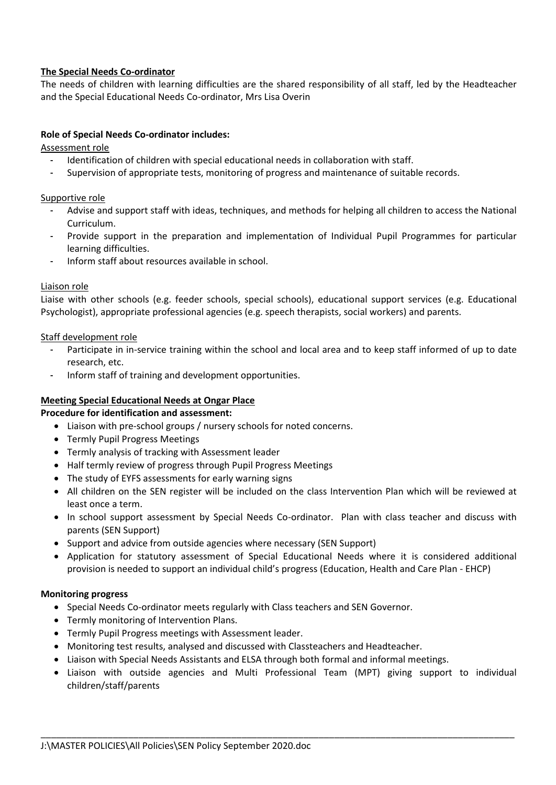# **The Special Needs Co-ordinator**

The needs of children with learning difficulties are the shared responsibility of all staff, led by the Headteacher and the Special Educational Needs Co-ordinator, Mrs Lisa Overin

### **Role of Special Needs Co-ordinator includes:**

Assessment role

- Identification of children with special educational needs in collaboration with staff.
- Supervision of appropriate tests, monitoring of progress and maintenance of suitable records.

Supportive role

- Advise and support staff with ideas, techniques, and methods for helping all children to access the National Curriculum.
- Provide support in the preparation and implementation of Individual Pupil Programmes for particular learning difficulties.
- Inform staff about resources available in school.

### Liaison role

Liaise with other schools (e.g. feeder schools, special schools), educational support services (e.g. Educational Psychologist), appropriate professional agencies (e.g. speech therapists, social workers) and parents.

### Staff development role

- Participate in in-service training within the school and local area and to keep staff informed of up to date research, etc.
- Inform staff of training and development opportunities.

### **Meeting Special Educational Needs at Ongar Place**

**Procedure for identification and assessment:**

- Liaison with pre-school groups / nursery schools for noted concerns.
- Termly Pupil Progress Meetings
- Termly analysis of tracking with Assessment leader
- Half termly review of progress through Pupil Progress Meetings
- The study of EYFS assessments for early warning signs
- All children on the SEN register will be included on the class Intervention Plan which will be reviewed at least once a term.
- In school support assessment by Special Needs Co-ordinator. Plan with class teacher and discuss with parents (SEN Support)
- Support and advice from outside agencies where necessary (SEN Support)
- Application for statutory assessment of Special Educational Needs where it is considered additional provision is needed to support an individual child's progress (Education, Health and Care Plan - EHCP)

### **Monitoring progress**

- Special Needs Co-ordinator meets regularly with Class teachers and SEN Governor.
- Termly monitoring of Intervention Plans.
- Termly Pupil Progress meetings with Assessment leader.
- Monitoring test results, analysed and discussed with Classteachers and Headteacher.
- Liaison with Special Needs Assistants and ELSA through both formal and informal meetings.
- Liaison with outside agencies and Multi Professional Team (MPT) giving support to individual children/staff/parents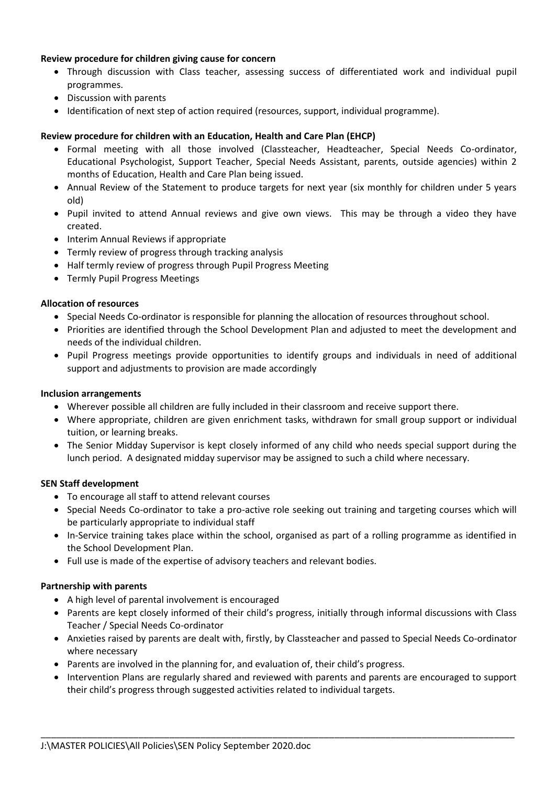### **Review procedure for children giving cause for concern**

- Through discussion with Class teacher, assessing success of differentiated work and individual pupil programmes.
- Discussion with parents
- Identification of next step of action required (resources, support, individual programme).

### **Review procedure for children with an Education, Health and Care Plan (EHCP)**

- Formal meeting with all those involved (Classteacher, Headteacher, Special Needs Co-ordinator, Educational Psychologist, Support Teacher, Special Needs Assistant, parents, outside agencies) within 2 months of Education, Health and Care Plan being issued.
- Annual Review of the Statement to produce targets for next year (six monthly for children under 5 years old)
- Pupil invited to attend Annual reviews and give own views. This may be through a video they have created.
- Interim Annual Reviews if appropriate
- Termly review of progress through tracking analysis
- Half termly review of progress through Pupil Progress Meeting
- Termly Pupil Progress Meetings

### **Allocation of resources**

- Special Needs Co-ordinator is responsible for planning the allocation of resources throughout school.
- Priorities are identified through the School Development Plan and adjusted to meet the development and needs of the individual children.
- Pupil Progress meetings provide opportunities to identify groups and individuals in need of additional support and adjustments to provision are made accordingly

### **Inclusion arrangements**

- Wherever possible all children are fully included in their classroom and receive support there.
- Where appropriate, children are given enrichment tasks, withdrawn for small group support or individual tuition, or learning breaks.
- The Senior Midday Supervisor is kept closely informed of any child who needs special support during the lunch period. A designated midday supervisor may be assigned to such a child where necessary.

### **SEN Staff development**

- To encourage all staff to attend relevant courses
- Special Needs Co-ordinator to take a pro-active role seeking out training and targeting courses which will be particularly appropriate to individual staff
- In-Service training takes place within the school, organised as part of a rolling programme as identified in the School Development Plan.
- Full use is made of the expertise of advisory teachers and relevant bodies.

### **Partnership with parents**

- A high level of parental involvement is encouraged
- Parents are kept closely informed of their child's progress, initially through informal discussions with Class Teacher / Special Needs Co-ordinator
- Anxieties raised by parents are dealt with, firstly, by Classteacher and passed to Special Needs Co-ordinator where necessary
- Parents are involved in the planning for, and evaluation of, their child's progress.
- Intervention Plans are regularly shared and reviewed with parents and parents are encouraged to support their child's progress through suggested activities related to individual targets.